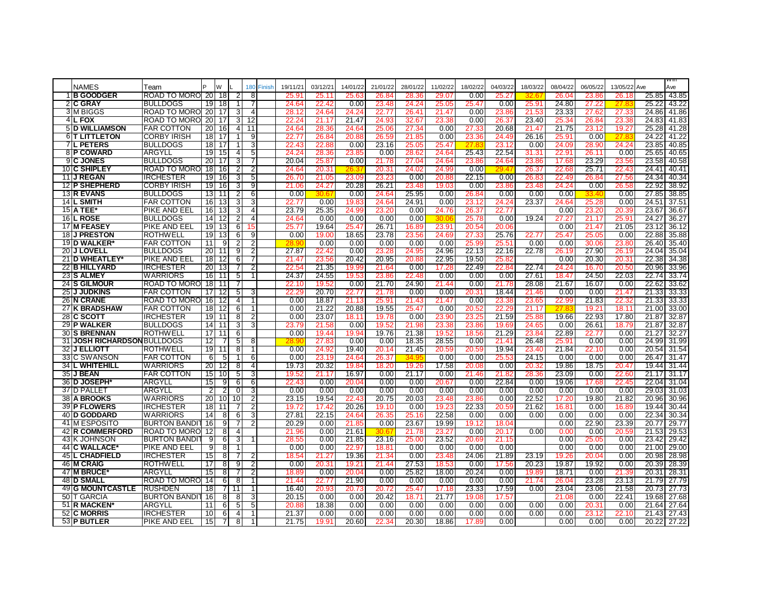| <b>NAMES</b>                               | Team                                |                 | W                       |          | 180                 | Finish | 19/11/21       | 03/12/21       | 14/01/22       | 21/01/22       | 28/01/22       | 11/02/22          | 18/02/22       | 04/03/22       | 18/03/22          | 08/04/22          | 06/05/22       | 13/05/22 Ave      |                | VV III<br>Ave  |
|--------------------------------------------|-------------------------------------|-----------------|-------------------------|----------|---------------------|--------|----------------|----------------|----------------|----------------|----------------|-------------------|----------------|----------------|-------------------|-------------------|----------------|-------------------|----------------|----------------|
| <b>1IB GOODGER</b>                         | ROAD TO MORO                        | <b>20</b>       | -18                     |          | 8                   |        | $25.9^{\circ}$ | 25.11          | 25.63          | 26.84          | 28.3           | 29.07             | 0.00           | 25.27          | 32.               | 26.04             | 23.8           | 26.18             | 25.85          | 43.85          |
| 2 C GRAY                                   | <b>BULLDOGS</b>                     | 19              | 18                      |          | 7                   |        | 24.64          | 22.42          | 0.00           | 23.48          | 24.24          | 25.05             | 25.47          | 0.00           | 25.91             | 24.80             | 27.2           | 27.8              | 25.22          | 43.22          |
| <b>3IM BIGGS</b>                           | ROAD TO MORO                        | 20              | 17                      | з        | 4                   |        | 28.12          | 24.64          | 24.24          | 22.77          | $26.4^{\circ}$ | 21.47             | 0.00           | 23.8           | $21.5^{\circ}$    | 23.33             | 27.6:          | 27.33             | 24.86          | 41.86          |
| 4 <sub>IL</sub> FOX                        | ROAD TO MORO                        | 20              | 17                      | 3        | 12                  |        | 22.24          | 21.17          | 21.47          | 24.93          | 32.67          | 23.38             | 0.00           | 26.37          | 23.40             | 25.34             | 26.84          | 23.38             | 24.83          | 41.83          |
| <b>5 D WILLIAMSON</b>                      | <b>FAR COTTON</b>                   | 20              | 16                      | 4        | 11                  |        | 24.64          | 28.36          | 24.64          | 25.06          | 27.34          | 0.00              | 27.33          | 20.68          | 21.47             | 21.75             | 23.1:          | 19.27             |                | 25.28 41.28    |
| <b>6IT LITTLETON</b>                       | <b>CORBY IRISH</b>                  | $\overline{18}$ | 17                      |          | 9                   |        | 22.77          | 26.84          | 20.88          | 26.59          | 21.85          | 0.00              | 23.3           | 24.49          | 26.16             | 25.91             | 0.00           | 27.8              | 24.22          | 41.22          |
| <b>7L PETERS</b>                           | <b>BULLDOGS</b>                     | 18              | 17                      |          | 3                   |        | 22.43          | 22.88          | 0.00           | 23.16          | 25.05          | 25.47             | 27.8           | 23.12          | 0.00              | 24.09             | 28.90          | 24.24             | 23.85          | 40.85          |
| <b>8IP COWARD</b>                          | ARGYLL                              | 19              | 15                      | 4        | 5                   |        | 24.24          | 28.36          | 23.85          | 0.00           | 28.6           | 24.64             | 25.43          | 22.54          | 31.31             | 22.9 <sup>2</sup> | 26.11          | 0.00              | 25.65          | 40.65          |
| 9 <b>C JONES</b>                           | <b>BULLDOGS</b>                     | 20              | 17                      | 3        | 7                   |        | 20.04          | 25.87          | 0.00           | 21.78          | 27.04          | 24.64             | 23.86          | 24.64          | 23.86             | 17.68             | 23.29          | 23.56             | 23.58          | 40.58          |
| 10 <b>IC SHIPLEY</b>                       | ROAD TO MORO                        | 18              | 16                      | 2        | $\overline{2}$      |        | 24.64          | 20.31          | 26.3           | 20.31          | 24.02          | 24.99             | 0.00           | 29.4           | 26.37             | 22.68             | 25.71          | 22.43             | 24.41          | 40.41          |
| 11 J REGAN                                 | <b>IRCHESTER</b>                    | 19              | 16                      | 3        | 5                   |        | 26.70          | 21.05          | 23.09          | 23.23          | 0.00           | 20.88             | 22.15          | 0.00           | 26.8              | 22.49             | 26.84          | 27.56             | 24.34          | 40.34          |
| 12 P SHEPHERD                              | <b>CORBY IRISH</b>                  | 19              | 16                      | 3        | 9                   |        | 21.06          | 24.27          | 20.28          | 26.21          | 23.48          | 19.03             | 0.00           | 23.86          | 23.48             | 24.24             | 0.00           | 26.58             | 22.92          | 38.92          |
| <b>13 R EVANS</b>                          | <b>BULLDOGS</b>                     | 13              | 11                      |          | 6                   |        | 0.00           |                | 0.00           | 24.64          | 25.95          | 0.00              | 26.84          | 0.00           | 0.00              | 0.00              |                | 0.00              | 27.85          | 38.85          |
| 14 L SMITH                                 | <b>FAR COTTON</b>                   | 16              | 13                      | 3        | 3                   |        | 22.77          | 0.00           | 19.83          | 24.64          | 24.91          | 0.00              | 23.1           | 24.24          | 23.37             | 24.64             | 25.2           | 0.00              | 24.51          | 37.51          |
| <b>15 A TEE*</b>                           | PIKE AND EEL                        | 16              | 13                      | 3        | 4                   |        | 23.79          | 25.35          | 24.99          | 23.20          | 0.00           | 24.76             | 26.37          | 22.77          |                   | 0.00              | 23.20          | 20.39             | 23.67          | 36.67          |
| <b>16L ROSE</b>                            | <b>BULLDOGS</b>                     | 14              | 12                      |          | 4                   |        | 24.64          | 0.00           | 0.00           | 0.00           | 0.00           | 30.0              | 25.7           | 0.00           | 19.24             | 27.2              | 21.17          | 25.9 <sup>2</sup> | 24.27          | 36.27          |
| <b>17 M FEASEY</b>                         | PIKE AND EEL                        | 19              | 13                      | 6        | 15                  |        | 25.77          | 19.64          | 25.47          | 26.71          | 16.8           | 23.9 <sup>2</sup> | 20.54          | 20.06          |                   | 0.00              | 21.47          | 21.05             | 23.12          | 36.12          |
| 18 J PRESTON                               | <b>ROTHWELL</b>                     | 19              | 13                      | 6        | 9                   |        | 0.00           | 19.00          | 18.65          | 23.78          | 23.56          | 24.69             | 27.33          | 25.76          | 22.77             | 25.47             | 25.05          | 0.00              | 22.88          | 35.88          |
| 19 D WALKER                                | <b>FAR COTTON</b>                   | 11              | $\overline{9}$          | 2        | $\overline{2}$      |        | 28.9           | 0.00           | 0.00           | 0.00           | 0.00           | 0.00              | 25.99          | 25.51          | 0.00              | 0.00              | 30.06          | 23.80             | 26.40          | 35.40          |
| <b>20 J LOVELL</b><br>21 D WHEATLEY*       | <b>BULLDOGS</b><br>PIKE AND EEL     | 20<br>18        | 11<br>12                | 9<br>6   | 2                   |        | 27.87<br>21.47 | 22.42<br>23.56 | 0.00<br>20.42  | 23.28<br>20.95 | 24.95<br>20.8  | 24.96<br>22.95    | 22.13<br>19.50 | 22.16<br>25.82 | 22.78             | 26.19<br>0.00     | 27.90<br>20.30 | 26.19<br>20.31    | 24.04<br>22.38 | 35.04<br>34.38 |
| 22 B HILLYARD                              | <b>IRCHESTER</b>                    | 20              | 13                      |          | $\overline{2}$      |        | 22.54          | 21.35          | 19.99          | 21.64          | 0.00           | 17.28             | 22.49          | 22.84          | 22.74             | 24.24             | 16.70          | 20.50             | 20.96          | 33.96          |
| 23 S ALMEY                                 | WARRIORS                            | 16              | $\overline{11}$         | 5        | $\mathbf{1}$        |        | 24.37          | 24.55          | 19.53          | 23.86          | 22.48          | 0.00              | 0.00           | 0.00           | 27.61             | 18.47             | 24.50          | 22.03             | 22.74          | 33.74          |
| <b>24 S GILMOUR</b>                        | ROAD TO MORO                        | $\overline{18}$ | 11                      | 7        |                     |        | 22.10          | 19.52          | 0.00           | 21.70          | 24.90          | 21.44             | 0.00           | 21.78          | 28.08             | 21.67             | 16.07          | 0.00              | 22.62          | 33.62          |
| <b>25 J JUDKINS</b>                        | <b>FAR COTTON</b>                   | 17              | 12                      | 5        | 3                   |        | 22.2           | 20.70          | 22.77          | 21.78          | 0.00           | 0.00              | 20.3           | 18.44          | 21.40             | 0.00              | 0.00           | 21.47             | 21.33          | 33.33          |
| <b>26 N CRANE</b>                          | ROAD TO MORO                        | 16              | 12                      | 4        | $\mathbf{1}$        |        | 0.00           | 18.87          | 21.13          | 25.91          | 21.43          | 21.47             | 0.00           | 23.38          | 23.6              | 22.99             | 21.83          | 22.32             | 21.33          | 33.33          |
| <b>27 K BRADSHAW</b>                       | <b>FAR COTTON</b>                   | 18 <sup>1</sup> | $\overline{12}$         | 6        | -1                  |        | 0.00           | 21.22          | 20.88          | 19.55          | 25.47          | 0.00              | 20.52          | 22.2           | 21.17             | 27.8              | 19.21          | 18.11             | 21.00          | 33.00          |
| <b>28 C SCOTT</b>                          | <b>IRCHESTER</b>                    | 19              | 11                      | 8        | 2                   |        | 0.00           | 23.07          | 18.11          | 19.78          | 0.00           | 23.9              | 23.2           | 21.59          | 25.8              | 19.66             | 22.93          | 17.80             | 21.87          | 32.87          |
| 29 P WALKER                                | <b>BULLDOGS</b>                     | 14              | 11                      | 3        | 3                   |        | 23.79          | 21.58          | 0.00           | 19.52          | 21.98          | 23.38             | 23.8           | 19.69          | 24.6              | 0.00              | 26.61          | 18.79             | 21.87          | 32.87          |
| <b>30 S BRENNAN</b>                        | <b>ROTHWELL</b>                     | 17              | 11                      | 6        |                     |        | 0.00           | 19.44          | 19.94          | 19.76          | 21.38          | 19.52             | 18.5           | 21.29          | 23.8 <sup>4</sup> | 22.89             | 22.77          | 0.00              | 21.27          | 32.27          |
| <b>31 JOSH RICHARDSON BULLDOGS</b>         |                                     | 12              | 7                       | 5        | 8                   |        |                | 27.83          | 0.00           | 0.00           | 18.35          | 28.55             | 0.00           | 21.41          | 26.48             | 25.9'             | 0.00           | 0.00              |                | 24.99 31.99    |
| <b>32 J ELLIOTT</b>                        | <b>ROTHWELL</b>                     | 19              | 11                      | 8        | 1                   |        | 0.00           | 24.92          | 19.40          | 20.14          | 21.45          | 20.59             | 20.59          | 19.94          | 23.40             | 21.84             | 22.10          | 0.00              |                | 20.54 31.54    |
| 33 C SWANSON                               | <b>FAR COTTON</b>                   | 6               | 5                       |          | 6                   |        | 0.00           | 23.19          | 24.64          | 26.37          | 34.9           | 0.00              | 0.00           | 25.53          | 24.15             | 0.00              | 0.00           | 0.00              | 26.47          | 31.47          |
| <b>34 L WHITEHILL</b>                      | WARRIORS                            | 20              | 12                      | 8        | $\overline{4}$      |        | 19.73          | 20.32          | 19.84          | 18.20          | 19.26          | 17.58             | 20.08          | 0.00           | 20.32             | 19.86             | 18.75          | 20.47             | 19.44          | 31.44          |
| <b>35 J BEAN</b>                           | <b>FAR COTTON</b>                   | 15              | 10                      | 5        | 3                   |        | 19.52          | 21.17          | 16.97          | 0.00           | 21.17          | 0.00              | 21.46          | 21.82          | 28.36             | 23.09             | 0.00           | 22.60             | 21.17          | 31.17          |
| 36 D JOSEPH*                               | ARGYLI                              | 15              | 9                       | 6        | 6                   |        | 22.43          | 0.00           | 20.04          | 0.00           | 0.00           | 20.67             | 0.00           | 22.84          | 0.00              | 19.06             | 17.68          | 22.45             | 22.04          | 31.04          |
| 37 D PALLET                                | ARGYLL                              | 2               | 2                       | $\Omega$ | 3                   |        | 0.00           | 0.00           | 0.00           | 0.00           | 0.00           | 0.00              | 0.00           | 0.00           | 0.00              | 0.00              | 0.00           | 0.00              |                | 29.03 31.03    |
| <b>38 A BROOKS</b>                         | <b>WARRIORS</b>                     | 20              | 10                      | 10       | 2                   |        | 23.15          | 19.54          | 22.43          | 20.75          | 20.03          | 23.48             | 23.86          | 0.00           | 22.52             | 17.20             | 19.80          | 21.82             | 20.96          | 30.96          |
| <b>39 P FLOWERS</b><br><b>40 D GODDARD</b> | <b>IRCHESTER</b><br><b>WARRIORS</b> | 18              | 11                      |          | $\overline{2}$<br>3 |        | 19.72          | 17.42<br>22.15 | 20.26          | 19.10          | 0.00           | 19.23<br>22.58    | 22.33<br>0.00  | 20.59<br>0.00  | 21.62<br>0.00     | 16.81<br>0.00     | 0.00<br>0.00   | 16.89<br>0.00     | 19.44<br>22.34 | 30.44          |
| 41 M ESPOSITO                              | <b>BURTON BANDIT</b>                | 14<br>16        | 8<br>9                  | 6        | $\overline{2}$      |        | 27.81<br>20.29 | 0.00           | 24.64<br>21.85 | 26.35<br>0.00  | 25.16<br>23.67 | 19.99             | 19.12          | 18.04          |                   | 0.00              | 22.90          | 23.39             | 20.77          | 30.34<br>29.77 |
| 42 R COMMERFORD                            | ROAD TO MORO                        | 12              | 8                       |          |                     |        | 21.96          | 0.00           | 21.61          | 30.67          | 21.78          | 23.27             | 0.00           | 20.17          | 0.00              | 0.00              | 0.00           | 20.59             | 21.53          | 29.53          |
| 43 K JOHNSON                               | <b>BURTON BANDI</b>                 | 9               | 6                       | 3        | $\overline{1}$      |        | 28.55          | 0.00           | 21.85          | 23.16          | 25.00          | 23.52             | 20.6           | 21.15          |                   | 0.00              | 25.05          | 0.00              | 23.42          | 29.42          |
| 44 C WALLACE*                              | PIKE AND EEL                        | 9               | 8                       | -1       |                     |        | 0.00           | 0.00           | 22.97          | 18.81          | 0.00           | 0.00              | 0.00           | 0.00           |                   | 0.00              | 0.00           | 0.00              | 21.00          | 29.00          |
| <b>45 L CHADFIELD</b>                      | <b>IRCHESTER</b>                    | 15              | 8                       |          | 2                   |        | 18.54          | 21.27          | 19.36          | 21.34          | 0.00           | 23.48             | 24.06          | 21.89          | 23.19             | 19.26             | 20.04          | 0.00              | 20.98          | 28.98          |
| <b>46 M CRAIG</b>                          | <b>ROTHWELL</b>                     | 17              | 8                       | 9        | $\overline{2}$      |        | 0.00           | 20.31          | $19.2^{\circ}$ | 21.44          | 27.53          | 18.53             | 0.00           | 17.56          | 20.23             | 19.87             | 19.92          | 0.00              | 20.39          | 28.39          |
| 47 IM BRUCE*                               | ARGYLI                              | 15              | 8                       |          | $\overline{2}$      |        | 18.8           | 0.00           | 20.04          | 0.00           | 25.82          | 18.00             | 20.24          | 0.00           | 19.8              | 18.71             | 0.00           | 21.39             |                | 20.31 28.31    |
| 48 ID SMALL                                | ROAD TO MORO                        | 14              | 6                       | 8        | $\mathbf 1$         |        | 21.44          | 22.77          | 21.90          | 0.00           | 0.00           | 0.00              | 0.00           | 0.00           | 21.74             | 26.04             | 23.28          | 23.13             | 21.79          | 27.79          |
| <b>49 G MOUNTCASTLE</b>                    | <b>RUSHDEN</b>                      | 18              | 7                       | 11       | -1                  |        | 16.40          | 20.93          | 20.73          | 20.72          | 25.47          | 17.18             | 23.33          | 17.59          | 0.00              | 23.04             | 23.06          | 21.58             | 20.73          | 27.73          |
| 50 IT GARCIA                               | <b>BURTON BANDI</b>                 | 16              | $\overline{\mathbf{8}}$ | 8        | 3                   |        | 20.15          | 0.00           | 0.00           | 20.42          | 18.71          | 21.77             | 19.08          | 17.57          |                   | 21.08             | 0.00           | 22.41             |                | 19.68 27.68    |
| 51 R MACKEN                                | ARGYLI                              | 11              | 6                       | 5        | 5                   |        | 20.88          | 18.38          | 0.00           | 0.00           | 0.00           | 0.00              | 0.00           | 0.00           | 0.00              | 0.00              | 20.31          | 0.00              | 21.64          | 27.64          |
| <b>52 IC MORRIS</b>                        | <b>IRCHESTER</b>                    | 10              | 6                       | 4        | $\mathbf 1$         |        | 21.37          | 0.00           | 0.00           | 0.00           | 0.00           | 0.00              | 0.00           | 0.00           | 0.00              | 0.00              | 23.12          | 22.10             | 21.43          | 27.43          |
| 53 P BUTLER                                | PIKE AND EEL                        | 15              | 7                       | 8        | 1                   |        | 21.75          | 19.91          | 20.60          | 22.34          | 20.30          | 18.86             | 17.89          | 0.00           |                   | 0.00              | 0.00           | 0.00              | 20.22          | 27.22          |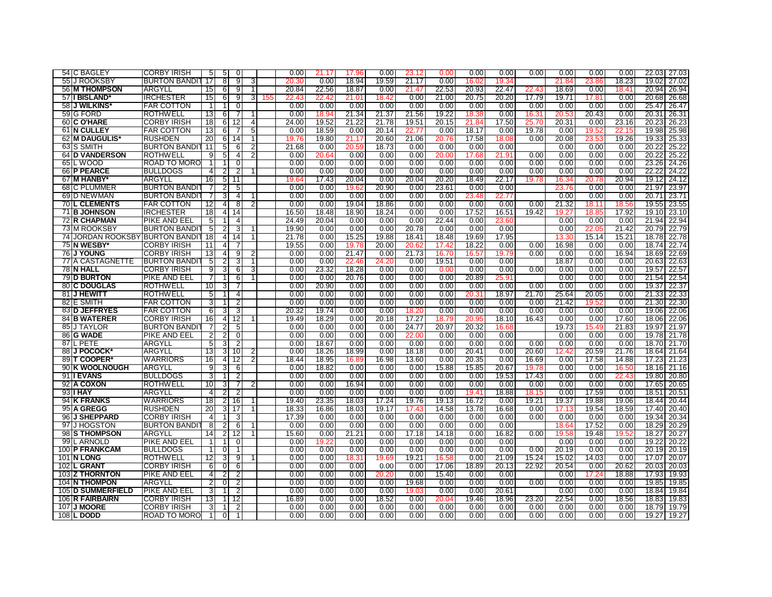| 54 C BAGLEY                     | <b>CORBY IRISH</b>                 | 5                       | 5                   | 0                        |                |     | 0.00          | 21.17          | 17.96         | 0.00          | 23.12         | 0.00          | 0.00           | 0.00          | 0.00          | 0.00           | 0.00          | 0.00          | 22.03 27.03          |       |
|---------------------------------|------------------------------------|-------------------------|---------------------|--------------------------|----------------|-----|---------------|----------------|---------------|---------------|---------------|---------------|----------------|---------------|---------------|----------------|---------------|---------------|----------------------|-------|
| 55 J ROOKSBY                    | <b>BURTON BANDIT</b>               | 17                      | 8                   | 9                        | 3              |     | 20.30         | 0.00           | 18.94         | 19.59         | 21.17         | 0.00          | 16.02          | 19.34         |               | 21.84          | 23.86         | 18.23         | 19.02                | 27.02 |
| 56 M THOMPSON                   | <b>ARGYLL</b>                      | 15                      | 6                   | 9                        | $\overline{1}$ |     | 20.84         | 22.56          | 18.87         | 0.00          | 21.47         | 22.53         | 20.93          | 22.47         | 22.43         | 18.69          | 0.00          | 18.41         | 20.94                | 26.94 |
| 57 II BISLAND'                  | <b>IRCHESTER</b>                   | 15                      | 6                   | 9                        | 3              | 155 | 22.4          | 22.42          | 21.01         | 18.42         | 0.00          | 21.00         | 20.75          | 20.20         | 17.79         | 19.71          | 17.81         | 0.00          | 20.68                | 26.68 |
| 58 J WILKINS                    | <b>FAR COTTON</b>                  | $\mathbf{1}$            | 1                   | $\Omega$                 |                |     | 0.00          | 0.00           | 0.00          | 0.00          | 0.00          | 0.00          | 0.00           | 0.00          | 0.00          | 0.00           | 0.00          | 0.00          | 25.47                | 26.47 |
| 59 G FORD                       | <b>ROTHWELL</b>                    | 13                      | 6                   |                          |                |     | 0.00          | 18.94          | 21.34         | 21.37         | 21.56         | 19.22         | 18.3           | 0.00          | 16.31         | $20.5^{\circ}$ | 20.43         | 0.00          | 20.31                | 26.31 |
| 60 C O'HARE                     | <b>CORBY IRISH</b>                 | 18                      | 6                   | 12                       | 4              |     | 24.00         | 19.52          | 21.22         | 21.78         | 19.51         | 20.15         | 21.84          | 17.50         | 25.70         | 20.31          | 0.00          | 23.16         | 20.23                | 26.23 |
| 61 N CULLEY                     | <b>FAR COTTON</b>                  | 13                      | 6                   | 7                        | 5              |     | 0.00          | 18.59          | 0.00          | 20.14         | 22.77         | 0.00          | 18.17          | 0.00          | 19.78         | 0.00           | 19.52         | 22.15         | 19.98                | 25.98 |
| 62 M DAUGULIS*                  | <b>RUSHDEN</b>                     | 20                      | 6                   | 14                       | 1              |     | 19.76         | 19.80          | 21.17         | 20.60         | 21.06         | 20.76         | 17.58          | 18.08         | 0.00          | 20.08          | 23.53         | 19.26         | 19.33                | 25.33 |
| 63 S SMITH                      | <b>BURTON BANDIT</b>               | $\overline{11}$         | 5                   | 6                        | 2              |     | 21.68         | 0.00           | 20.59         | 18.73         | 0.00          | 0.00          | 0.00           | 0.00          |               | 0.00           | 0.00          | 0.00          | 20.22                | 25.22 |
| <b>64 ID VANDERSON</b>          | <b>ROTHWELL</b>                    | 9                       | 5                   | 4                        | $\overline{2}$ |     | 0.00          | 20.64          | 0.00          | 0.00          | 0.00          | 20.00         | 17.68          | 21.91         | 0.00          | 0.00           | 0.00          | 0.00          | 20.22                | 25.22 |
| 65 L WOOD                       | ROAD TO MORO                       | $\mathbf 1$             |                     | 0                        |                |     | 0.00          | 0.00           | 0.00          | 0.00          | 0.00          | 0.00          | 0.00           | 0.00          | 0.00          | 0.00           | 0.00          | 0.00          | 23.26 24.26          |       |
| 66 P PEARCE                     | <b>BULLDOGS</b>                    | 4                       | 2                   | 2                        | $\mathbf 1$    |     | 0.00          | 0.00           | 0.00          | 0.00          | 0.00          | 0.00          | 0.00           | 0.00          | 0.00          | 0.00           | 0.00          | 0.00          | 22.22                | 24.22 |
| 67 IM HANBY                     | ARGYLL                             | 16                      | 5                   | $\overline{11}$          |                |     | 19.64         | 17.43          | 20.04         | 0.00          | 20.04         | 20.20         | 18.49          | 22.17         | 19.78         | 16.34          | 20.78         | 20.94         | 19.12 24.12          |       |
| 68 C PLUMMER                    | <b>BURTON BANDI</b>                | 7                       | 2                   | 5                        |                |     | 0.00          | 0.00           | 19.62         | 20.90         | 0.00          | 23.61         | 0.00           | 0.00          |               | 23.76          | 0.00          | 0.00          | 21.97                | 23.97 |
| 69 D NEWMAN                     | <b>BURTON BANDI</b>                | 7                       | 3                   | 4                        | -1             |     | 0.00          | 0.00           | 0.00          | 0.00          | 0.00          | 0.00          | 23.48          | 22.77         |               | 0.00           | 0.00          | 0.00          | 20.71                | 23.71 |
| <b>70 L CLEMENTS</b>            | <b>FAR COTTON</b>                  | 12                      | $\overline{4}$      | 8                        | 2              |     | 0.00          | 0.00           | 19.04         | 18.86         | 0.00          | 0.00          | 0.00           | 0.00          | 0.00          | 21.32          | 18.11         | 18.56         | 19.55                | 23.55 |
| 71 B JOHNSON                    | <b>IRCHESTER</b>                   | 18                      | $\overline{4}$      | 14                       |                |     | 16.50         | 18.48          | 18.90         | 18.24         | 0.00          | 0.00          | 17.52          | 16.51         | 19.42         | 19.27          | 18.85         | 17.92         | 19.10                | 23.10 |
| 72 IR CHAPMAN                   | pike and eel                       | 5                       |                     | 4                        |                |     | 24.49         | 20.04          | 0.00          | 0.00          | 0.00          | 22.44         | 0.00           | 23.60         |               | 0.00           | 0.00          | 0.00          | 21.94                | 22.94 |
| 73 M ROOKSBY                    | <b>BURTON BANDI</b>                | 5                       | 2                   | 3                        |                |     | 19.90         | 0.00           | 0.00          | 0.00          | 20.78         | 0.00          | 0.00           | 0.00          |               | 0.00           | 22.05         | 21.42         | 20.79                | 22.79 |
| 74 JORDAN ROOKSBY BURTON BANDIT |                                    | 18                      | $\overline{4}$      | 14                       |                |     | 21.78         | 0.00           | 15.25         | 19.88         | 18.41         | 18.48         | 19.69          | 17.95         |               | 13.30          | 15.14         | 15.21         | 18.78 22.78          |       |
| 75 IN WESBY                     | <b>CORBY IRISH</b>                 | 11                      | 4                   |                          |                |     | 19.55         | 0.00           | 19.78         | 20.00         | 20.62         | 17.42         | 18.22          | 0.00          | 0.00          | 16.98          | 0.00          | 0.00          | 18.74                | 22.74 |
| <b>J YOUNG</b><br>76            | <b>CORBY IRISH</b>                 | 13                      | $\overline{4}$      | 9                        | $\overline{2}$ |     | 0.00          | 0.00           | 21.47         | 0.00          | 21.73         | 16.70         | 16.57          | 19.79         | 0.00          | 0.00           | 0.00          | 16.94         | 18.69                | 22.69 |
| <b>77IA CASTAGNETTE</b>         | <b>BURTON BANDI</b>                | 5                       | 2                   | 3                        | -1             |     | 0.00          | 0.00           | 22.46         | 24.20         | 0.00          | 19.51         | 0.00           | 0.00          |               | 18.87          | 0.00          | 0.00          | 20.63 22.63          |       |
| 78 N HALL                       | <b>CORBY IRISH</b>                 | 9                       | 3                   | 6                        | 3              |     | 0.00          | 23.32          | 18.28         | 0.00          | 0.00          | 0.00          | 0.00           | 0.00          | 0.00          | 0.00           | 0.00          | 0.00          | 19.57                | 22.57 |
| <b>79 D BURTON</b>              | PIKE AND EEL                       | 7                       | 1                   | 6                        | 1              |     | 0.00          | 0.00           | 20.76         | 0.00          | 0.00          | 0.00          | 20.89          | 25.91         |               | 0.00           | 0.00          | 0.00          | 21.54                | 22.54 |
| <b>80 C DOUGLAS</b>             | <b>ROTHWELL</b>                    | 10                      | 3                   |                          |                |     | 0.00          | 20.90          | 0.00          | 0.00          | 0.00          | 0.00          | 0.00           | 0.00          | 0.00          | 0.00           | 0.00          | 0.00          | 19.37                | 22.37 |
| 81 J HEWITT                     | <b>ROTHWELL</b>                    | 5                       |                     | 4                        |                |     | 0.00          | 0.00           | 0.00          | 0.00          | 0.00          | 0.00          | $20.3^{\circ}$ | 18.97         | 21.70         | 25.64          | 20.05         | 0.00          | 21.33                | 22.33 |
| 82 IE SMITH                     | <b>FAR COTTON</b>                  | 3                       |                     |                          |                |     | 0.00          | 0.00           | 0.00          | 0.00          | 0.00          | 0.00          | 0.00           | 0.00          | 0.00          | 21.42          | 19.5:         | 0.00          | 21.30                | 22.30 |
| 83 D JEFFRYES                   | FAR COTTON                         | 6                       |                     | 3                        |                |     | 20.32         | 19.74          | 0.00          | 0.00          | 18.20         | 0.00          | 0.00           | 0.00          | 0.00          | 0.00           | 0.00          | 0.00          | 19.06                | 22.06 |
| 84 B WATERER                    | <b>CORBY IRISH</b>                 | 16                      | 3<br>$\overline{4}$ |                          |                |     | 19.49         | 18.29          | 0.00          | 20.18         | 17.27         | 18.79         | 20.95          | 18.10         | 16.43         | 0.00           | 0.00          | 17.60         | 18.06                | 22.06 |
| <b>J TAYLOR</b><br>85           | <b>BURTON BANDI</b>                | 7                       | $\overline{2}$      | 12                       |                |     | 0.00          | 0.00           | 0.00          | 0.00          | 24.77         | 20.97         | 20.32          | 16.68         |               | 19.73          | 15.49         | 21.83         | 19.97 21.97          |       |
| 86 G WADE                       |                                    |                         |                     | 5<br>$\Omega$            |                |     | 0.00          | 0.00           | 0.00          | 0.00          | 22.00         | 0.00          | 0.00           | 0.00          |               | 0.00           | 0.00          | 0.00          | 19.78 21.78          |       |
| 87IL PETE                       | PIKE AND EEL<br>ARGYLL             | 2                       | 2<br>3              | 2                        |                |     | 0.00          | 18.67          | 0.00          | 0.00          | 0.00          | 0.00          | 0.00           | 0.00          | 0.00          | 0.00           | 0.00          | 0.00          | 18.70 21.70          |       |
|                                 |                                    | 5                       |                     |                          |                |     |               |                |               |               |               |               |                |               |               |                |               |               |                      |       |
| 88 J POCOCK*<br>89 T COOPER     | <b>ARGYLL</b>                      | 13                      | 3                   | 10                       | $\overline{2}$ |     | 0.00          | 18.26          | 18.99         | 0.00          | 18.18         | 0.00          | 20.41          | 0.00          | 20.60         | 12.42          | 20.59         | 21.76         | 18.64 21.64          |       |
| 90 K WOOLNOUGH                  | <b>WARRIORS</b><br>ARGYLL          | 16<br>9                 | $\overline{4}$      | $\overline{12}$          | 2              |     | 18.44<br>0.00 | 18.95<br>18.82 | 16.89<br>0.00 | 16.98<br>0.00 | 13.60<br>0.00 | 0.00<br>15.88 | 20.35<br>15.85 | 0.00<br>20.67 | 16.69         | 0.00<br>0.00   | 17.58<br>0.00 | 14.88         | 17.23<br>18.16       | 21.23 |
|                                 |                                    |                         | 3                   | 6                        |                |     |               |                |               |               |               |               |                |               | 19.78         |                |               | 16.50         |                      | 21.16 |
| 91 I EVANS<br>92 A COXON        | <b>BULLDOGS</b><br><b>ROTHWELL</b> | 3<br>10                 | 1<br>3              | 2                        | $\overline{2}$ |     | 0.00<br>0.00  | 0.00<br>0.00   | 0.00<br>16.94 | 0.00<br>0.00  | 0.00<br>0.00  | 0.00<br>0.00  | 0.00<br>0.00   | 19.53<br>0.00 | 17.43<br>0.00 | 0.00<br>0.00   | 0.00<br>0.00  | 22.43<br>0.00 | 19.80 20.80<br>17.65 | 20.65 |
|                                 |                                    |                         |                     |                          |                |     |               |                |               |               |               |               |                |               |               |                |               |               |                      |       |
| 93 I HAY                        | ARGYLI                             | 4                       | 2                   | 2                        |                |     | 0.00          | 0.00           | 0.00          | 0.00          | 0.00          | 0.00          | $19.4^{\circ}$ | 18.88         | 18.15         | 0.00           | 17.59         | 0.00          | 18.51                | 20.51 |
| 94 K FRANKS                     | <b>WARRIORS</b>                    | 18                      | $\overline{2}$      | 16                       | $\overline{1}$ |     | 19.40         | 23.35          | 18.03         | 17.24         | 19.76         | 19.13         | 16.72          | 0.00          | 19.21         | 19.37          | 19.88         | 19.06         | 18.44                | 20.44 |
| 95 A GREGG                      | <b>RUSHDEN</b>                     | 20                      | 3                   | 17                       | -1             |     | 18.33         | 16.86          | 18.03         | 19.17         | 17.43         | 14.58         | 13.78          | 16.68         | 0.00          | 17.13          | 19.54         | 18.59         | 17.40                | 20.40 |
| 96 J SHEPPARD                   | <b>CORBY IRISH</b>                 | $\overline{4}$          |                     | 3                        |                |     | 17.39         | 0.00           | 0.00          | 0.00          | 0.00          | 0.00          | 0.00           | 0.00          | 0.00          | 0.00           | 0.00          | 0.00          | 19.34 20.34          |       |
| 97 J HOGSTON                    | <b>BURTON BANDI</b>                | $\overline{\mathbf{8}}$ | 2                   | 6                        | -1             |     | 0.00          | 0.00           | 0.00          | 0.00          | 0.00          | 0.00          | 0.00           | 0.00          |               | 18.6           | 17.52         | 0.00          | 18.29                | 20.29 |
| 98 S THOMPSON                   | ARGYLL                             | 14                      | 2                   | 12                       | $\mathbf 1$    |     | 15.60         | 0.00           | 21.21         | 0.00          | 17.18         | 14.18         | 0.00           | 16.82         | 0.00          | 19.58          | 19.48         | 19.52         | 18.27                | 20.27 |
| 99 L ARNOLD                     | PIKE AND EEL                       |                         |                     | $\Omega$                 |                |     | 0.00          | 19.22          | 0.00          | 0.00          | 0.00          | 0.00          | 0.00           | 0.00          |               | 0.00           | 0.00          | 0.00          | 19.22                | 20.22 |
| 100 P FRANKCAM                  | <b>BULLDOGS</b>                    | $\mathbf{1}$            | $\overline{0}$      | $\overline{\phantom{a}}$ |                |     | 0.00          | 0.00           | 0.00          | 0.00          | 0.00          | 0.00          | 0.00           | 0.00          | 0.00          | 20.19          | 0.00          | 0.00          | 20.19                | 20.19 |
| <b>101 IN LONG</b>              | <b>ROTHWELL</b>                    | 12                      | 3                   | 9                        | -1             |     | 0.00          | 0.00           | 18.31         | 19.69         | 19.21         | 16.58         | 0.00           | 21.09         | 15.24         | 15.02          | 14.03         | 0.00          | 17.07                | 20.07 |
| <b>102 L GRANT</b>              | <b>CORBY IRISH</b>                 | 6                       | $\overline{0}$      | 6                        |                |     | 0.00          | 0.00           | 0.00          | 0.00          | 0.00          | 17.06         | 18.89          | 20.13         | 22.92         | 20.54          | 0.00          | 20.62         | 20.03                | 20.03 |
| <b>103 Z THORNTON</b>           | PIKE AND EEL                       | $\overline{4}$          | $\overline{2}$      | 2                        |                |     | 0.00          | 0.00           | 0.00          | 20.20         | 0.00          | 15.40         | 0.00           | 0.00          |               | 0.00           | 17.24         | 18.88         | 17.93                | 19.93 |
| 104 N THOMPON                   | <b>ARGYLI</b>                      | 2                       | $\overline{0}$      |                          |                |     | 0.00          | 0.00           | 0.00          | 0.00          | 19.68         | 0.00          | 0.00           | 0.00          | 0.00          | 0.00           | 0.00          | 0.00          | 19.85                | 19.85 |
| 105 D SUMMERFIELD               | PIKE AND EEL                       | 3                       |                     | $\overline{2}$           |                |     | 0.00          | 0.00           | 0.00          | 0.00          | 19.03         | 0.00          | 0.00           | 20.61         |               | 0.00           | 0.00          | 0.00          | 18.84                | 19.84 |
| 106 R FAIRBAIRN                 | <b>CORBY IRISH</b>                 | 13                      |                     | 12                       |                |     | 16.89         | 0.00           | 0.00          | 18.52         | 0.00          | 20.04         | 19.46          | 18.96         | 23.20         | 22.54          | 0.00          | 18.56         | 18.83                | 19.83 |
| 107 J MOORE                     | <b>CORBY IRISH</b>                 | 3                       |                     | 2                        |                |     | 0.00          | 0.00           | 0.00          | 0.00          | 0.00          | 0.00          | 0.00           | 0.00          | 0.00          | 0.00           | 0.00          | 0.00          | 18.79 19.79          |       |
| <b>108 L DODD</b>               | <b>ROAD TO MORO</b>                | $\overline{1}$          | $\Omega$            | $\overline{1}$           |                |     | 0.00          | 0.00           | 0.00          | 0.00          | 0.00          | 0.00          | 0.00           | 0.00          | 0.00          | 0.00           | 0.00          | 0.00          | 19.27 19.27          |       |